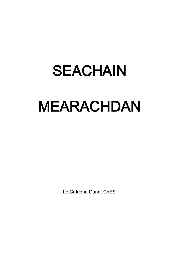# SEACHAIN MEARACHDAN

Le Catriona Dunn, CnES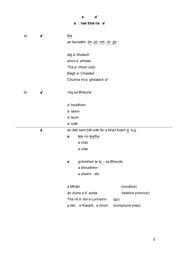# a a' a : nas trice na a'

| a) | a' | the                                            |  |  |
|----|----|------------------------------------------------|--|--|
|    |    | air beulaibh bh ph mh ch gh                    |  |  |
|    |    |                                                |  |  |
|    |    | aig a' bhalach                                 |  |  |
|    |    | anns a' phreas                                 |  |  |
|    |    | Tha a' mhuir ciùin                             |  |  |
|    |    | Bàgh a' Chaisteil                              |  |  |
|    |    | Chunna mi a' ghealach ùr                       |  |  |
|    |    |                                                |  |  |
| b) | a' | -ing sa Bheurla                                |  |  |
|    |    |                                                |  |  |
|    |    | a' bruidhinn                                   |  |  |
|    |    | a' seinn                                       |  |  |
|    |    | a' leum                                        |  |  |
|    |    | a' ruith                                       |  |  |
|    | a  | an àite sam bith eile far a bheil fuaim a e.g. |  |  |
|    |    | leis no leatha<br>a                            |  |  |
|    |    | a chàr                                         |  |  |
|    |    | a còta                                         |  |  |
|    |    |                                                |  |  |
|    |    | gnìomhair le to - sa Bheurla<br>$\mathbf a$    |  |  |
|    |    | a bhruidhinn                                   |  |  |
|    |    | a sheinn etc                                   |  |  |
|    |    |                                                |  |  |
|    |    | a Mhàiri<br>(vocative)                         |  |  |
|    |    | an duine a b' aosta<br>(relative pronoun)      |  |  |
|    |    | Tha mi a' dol a Lunnainn<br>(gu)               |  |  |
|    |    | a rèir, a thaobh, a chum<br>(compound prep)    |  |  |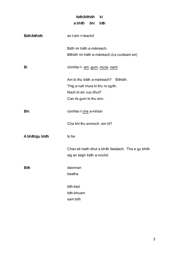# bidh/bithidh bi a bhith bhi bith

| Bidh/bithidh     | an t-àm ri teachd                                                                  |
|------------------|------------------------------------------------------------------------------------|
|                  | Bidh mi tràth a-màireach.                                                          |
|                  | Bithidh mi tràth a-màireach.(Le cuideam air)                                       |
| Bi               | còmhla ri am, gum, mura, nach                                                      |
|                  | Am bi thu tràth a-màireach? Bithidh.                                               |
|                  | Thig a-nall mura bi thu ro sgith.                                                  |
|                  | Nach bi sin cus dhut?                                                              |
|                  | Can ris gum bi thu ann.                                                            |
| <b>Bhi</b>       | còmhla ri cha a-mhàin                                                              |
|                  | Cha bhi thu anmoch, am bi?                                                         |
| A bhith/gu bhith | to be                                                                              |
|                  | Chan eil math dhut a bhith fadalach. Tha e gu bhith<br>aig an taigh tràth a-nochd. |
| <b>Bith</b>      | daonnan                                                                            |
|                  | beatha                                                                             |
|                  | bith-beò                                                                           |
|                  | bith-bhuam                                                                         |
|                  | sam bith                                                                           |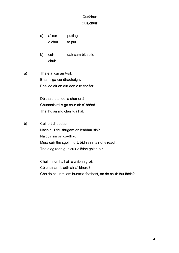# Cur/chur Cuir/chuir

- a) a' cur putting a chur to put
- b) cuir uair sam bith eile chuir
- a) Tha e a' cur an t-sìl. Bha mi ga cur dhachaigh. Bha iad air an cur don àite cheàrr.

Dè tha thu a' dol a chur ort? Chunnaic mi e ga chur air a' bhòrd. Tha thu air mo chur tuathal.

b) Cuir ort d' aodach. Nach cuir thu thugam an leabhar sin? Na cuir sin ort co-dhiù. Mura cuir thu sgoinn ort, bidh sinn air dheireadh. Tha e ag ràdh gun cuir e lèine ghlan air.

> Chuir mi umhail air o chionn greis. Cò chuir am biadh air a' bhòrd? Cha do chuir mi am buntàta fhathast, an do chuir thu fhèin?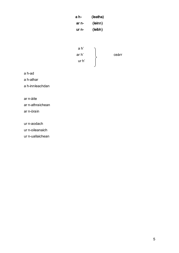| a h-  | (leatha) |
|-------|----------|
| ar n- | (leinn)  |
| ur n- | (leibh)  |
|       |          |



a h-ad

a h-athar

a h-innleachdan

ar n-àite

ar n-athraichean ar n-òrain

ur n-aodach

ur n-oileanaich

ur n-uallaichean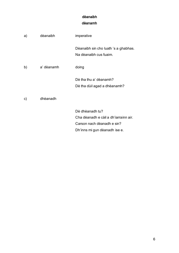# dèanaibh dèanamh

| a) | dèanaibh   | imperative                                                                                                              |
|----|------------|-------------------------------------------------------------------------------------------------------------------------|
|    |            | Dèanaibh sin cho luath 's a ghabhas.<br>Na dèanaibh cus fuaim.                                                          |
| b) | a' dèanamh | doing                                                                                                                   |
|    |            | Dè tha thu a' dèanamh?<br>Dè tha dùil agad a dhèanamh?                                                                  |
| c) | dhèanadh   |                                                                                                                         |
|    |            | Dè dhèanadh tu?<br>Cha dèanadh e càil a dh'iarrainn air.<br>Carson nach dèanadh e sin?<br>Dh'inns mi gun dèanadh ise e. |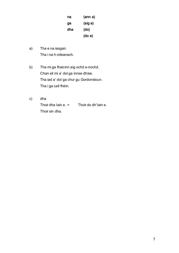| na  | (ann a) |
|-----|---------|
| ga  | (aig a) |
| dha | (do)    |
|     | (do e)  |

- a) Tha e na iasgair. Tha i na h-oileanach.
- b) Tha mi ga fhaicinn aig ochd a-nochd. Chan eil mi a' dol ga innse dhise. Tha iad a' dol ga chur gu Gordonstoun. Tha i ga call fhèin.
- c) dha Thoir dha Iain e. = Thoir do dh'Iain e. Thoir sin dha.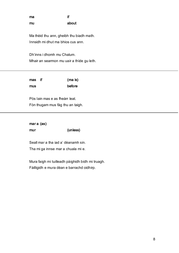ma if mu about

Ma thèid thu ann, gheibh thu biadh math. Innsidh mi dhut ma bhios cus ann.

Dh'inns i dhomh mu Chalum. Mhair an searmon mu uair a thìde gu leth.

| mas if | (ma is) |
|--------|---------|
| mus    | before  |

Pòs Iain mas e as fheàrr leat. Fòn thugam mus fàg thu an taigh.

mar a (as) mur (unless)

Seall mar a tha iad a' dèanamh sin. Tha mi ga innse mar a chuala mi e.

Mura faigh mi tuilleadh pàighidh bidh mi truagh. Fàilligidh e mura dèan e barrachd oidhirp.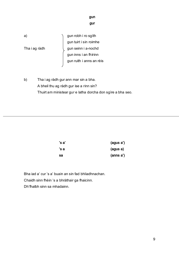gun gur

a) gun robh i ro sgìth gun tuirt i sin roimhe Tha i ag ràdh  $\left\{\right.$  gun seinn i a-nochd gun inns i an fhìrinn gun ruith i anns an rèis

b) Tha i ag ràdh gur ann mar sin a bha. A bheil thu ag ràdh gur ise a rinn sin? Thuirt am ministear gur e latha dorcha don sgìre a bha seo.

| 's a' | (agus a') |
|-------|-----------|
| 's a  | (agus a)  |
| sa    | (anns a') |

Bha iad a' cur 's a' buain an sin fad bhliadhnachan. Chaidh sinn fhèin 's a bhràthair ga fhaicinn. Dh'fhalbh sinn sa mhadainn.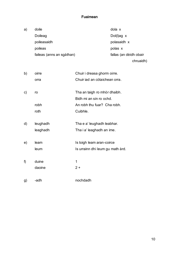## Fuaimean

| a) | doile                     | dola x                 |
|----|---------------------------|------------------------|
|    | Doileag                   | Dol(l)ag $x$           |
|    | poileasaidh               | polasaidh x            |
|    | poileas                   | polas x                |
|    | faileas (anns an sgàthan) | fallas (an dèidh obair |
|    |                           |                        |

chruaidh)

| b) | oirre    | Chuir i dreasa ghorm oirre.      |
|----|----------|----------------------------------|
|    | orra     | Chuir iad an còtaichean orra.    |
| C) | ro       | Tha an taigh ro mhòr dhaibh.     |
|    |          | Bidh mi an sin ro ochd.          |
|    | robh     | An robh thu fuar? Cha robh.      |
|    | roth     | Cuibhle.                         |
| d) | leughadh | Tha e a' leughadh leabhar.       |
|    | leaghadh | Tha i a' leaghadh an ime.        |
| e) | leam     | Is toigh leam aran-coirce        |
|    | leum     | Is urrainn dhi leum gu math àrd. |
|    |          |                                  |
| f) | duine    | 1                                |
|    | daoine   | $2+$                             |
| g) | -adh     | nochdadh                         |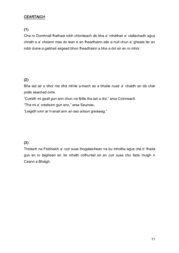## CEARTAICH

(1)

Cha ro Domhnall fhathast robh chinnteach dè bha a' mhàthair a' ciallachadh agus chrath e a' cheann mas do lean e an fheadhainn eile a-null chun a' gheata far an robh duine a gabhail airgead bhon fheadhainn a bha a dol air an ro mhòr.

## (2)

Bha iad air a dhol ma dhà mhìle a-mach as a bhaile nuair a' chaidh an dà chàr poilis seachad oirre.

"Cuiridh mi geall gun ann chun na fèille tha iad a dol," arsa Coinneach.

"Tha mi a' creidsinn gun ann," arsa Seumas.

"Leigidh sinn ar h-anail ann an seo airson greiseag."

#### (3)

Thòisich na Fìobhaich a' cuir suas thogalaichean na bu mhotha agus cha b' fhada gus an ro taighean an ìre mhath cofhurtail air an cuir suas cho fada muigh ri Ceann a Bhàigh.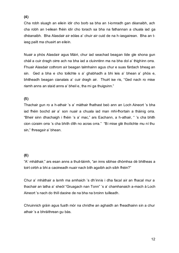#### (4)

Cha robh sluagh an eilein idir cho borb sa bha an t-iomradh gan dèanaibh, ach cha robh an t-eilean fhèin idir cho torach sa bha na fathannan a chuala iad ga dhèanaibh. Bha Alasdair air eòlas a' chuir air cuid de na h-iasgairean. Bha an tiasg pailt ma chuairt an eilein.

Nuair a phòs Alasdair agus Màiri, chur iad seachad beagan tìde gle shona gun chàil a cuir dragh oirre ach na bha iad a cluinntinn ma na bha dol a' thighinn orra. Fhuair Alasdair cothrom air beagan talmhainn agus chur e suas fàrdach bheag an sin. Ged a bha e cho toilichte s a' ghabhadh a bhi leis a' bhean a' phòs e, bhitheadh beagan cianalais a' cuir dragh air. Thuirt ise ris, "Ged nach ro mise riamh anns an staid anns a' bheil e, tha mi ga thuigsinn."

#### (5)

Thachair gun ro a h-athair 's a' màthair fhathast beò ann an Loch Aineort 's bha iad fhèin bochd air a' son nuair a chuala iad man mhì-fhortain a thàinig orra. "Bheir sinn dhachaigh i fhèin 's a' mac," ars Eachann, a h-athair, " 's cha bhith cion cùraim orra 's cha bhith dìth no acras orra." "Bi mise glè thoilichte mu nì thu sin," fhreagair a' bhean.

#### (6)

"A' mhàthair," ars esan anns a thuil-tàimh, "an inns sibhse dhòmhsa dè bhitheas a toirt oirbh a bhi a caoineadh nuair nach bith agaibh ach sibh fhèin?"

Chur a' mhàthair a lamh ma amhaich 's dh'innis i dha facal air an fhacal mur a thachair an latha a' sheòl "Gruagach nan Tonn" 's a' chamhanaich a-mach à Loch Aineort 's nach do thill daoine de na bha na broinn tuilleadh.

Chruinnich gràin agus fuath mòr na chridhe an aghaidh an fheadhainn sin a chur athair 's a bhràithrean gu bàs.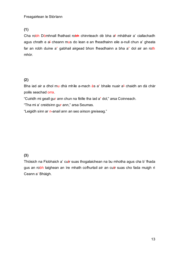# (1)

Cha robh Dòmhnall fhathast robh chinnteach dè bha a' mhàthair a' ciallachadh agus chrath e a' cheann mus do lean e an fheadhainn eile a-null chun a' gheata far an robh duine a' gabhail airgead bhon fheadhainn a bha a' dol air an roth mhòr.

## (2)

Bha iad air a dhol mu dhà mhìle a-mach às a' bhaile nuair a' chaidh an dà chàr poilis seachad orra.

"Cuiridh mi geall gur ann chun na fèille tha iad a' dol," arsa Coinneach.

"Tha mi a' creidsinn gur ann," arsa Seumas.

"Leigidh sinn ar n-anail ann an seo airson greiseag."

## (3)

Thòisich na Fìobhaich a' cuir suas thogalaichean na bu mhotha agus cha b' fhada gus an robh taighean an ìre mhath cofhurtail air an cuir suas cho fada muigh ri Ceann a' Bhàigh.